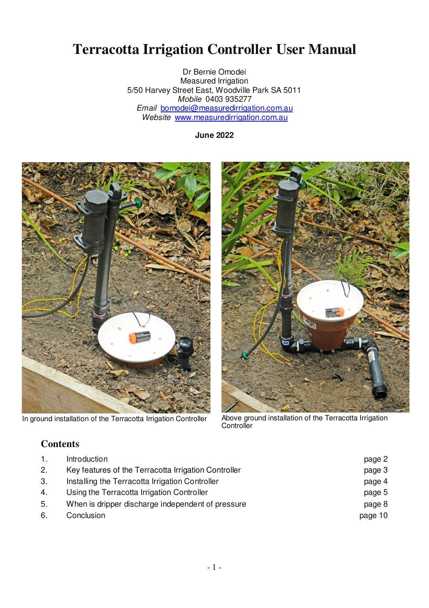# **Terracotta Irrigation Controller User Manual**

Dr Bernie Omodei Measured Irrigation 5/50 Harvey Street East, Woodville Park SA 5011 Mobile 0403 935277 Email bomodei@measuredirrigation.com.au Website www.measuredirrigation.com.au

**June 2022** 



In ground installation of the Terracotta Irrigation Controller

Above ground installation of the Terracotta Irrigation<br>Controller

### **Contents**

| 1. | Introduction                                         | page 2  |
|----|------------------------------------------------------|---------|
| 2. | Key features of the Terracotta Irrigation Controller | page 3  |
| 3. | Installing the Terracotta Irrigation Controller      | page 4  |
| 4. | Using the Terracotta Irrigation Controller           | page 5  |
| 5. | When is dripper discharge independent of pressure    | page 8  |
| 6. | Conclusion                                           | page 10 |
|    |                                                      |         |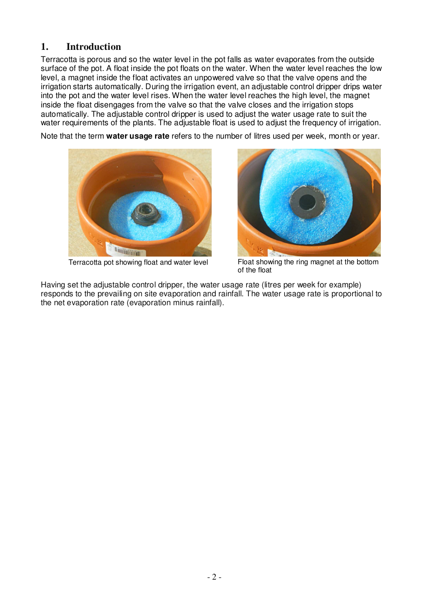### **1. Introduction**

Terracotta is porous and so the water level in the pot falls as water evaporates from the outside surface of the pot. A float inside the pot floats on the water. When the water level reaches the low level, a magnet inside the float activates an unpowered valve so that the valve opens and the irrigation starts automatically. During the irrigation event, an adjustable control dripper drips water into the pot and the water level rises. When the water level reaches the high level, the magnet inside the float disengages from the valve so that the valve closes and the irrigation stops automatically. The adjustable control dripper is used to adjust the water usage rate to suit the water requirements of the plants. The adjustable float is used to adjust the frequency of irrigation.

Note that the term **water usage rate** refers to the number of litres used per week, month or year.



Terracotta pot showing float and water level



Float showing the ring magnet at the bottom of the float

Having set the adjustable control dripper, the water usage rate (litres per week for example) responds to the prevailing on site evaporation and rainfall. The water usage rate is proportional to the net evaporation rate (evaporation minus rainfall).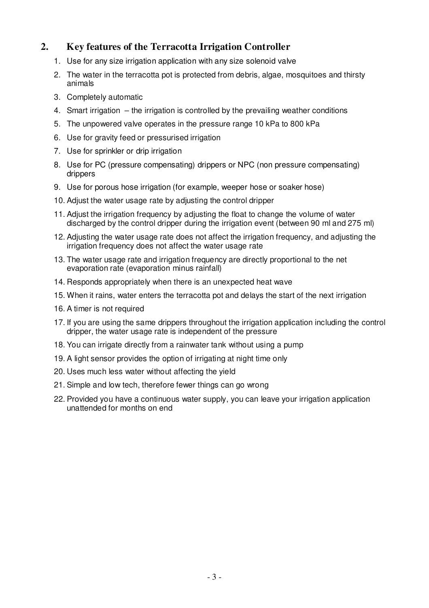### **2. Key features of the Terracotta Irrigation Controller**

- 1. Use for any size irrigation application with any size solenoid valve
- 2. The water in the terracotta pot is protected from debris, algae, mosquitoes and thirsty animals
- 3. Completely automatic
- 4. Smart irrigation the irrigation is controlled by the prevailing weather conditions
- 5. The unpowered valve operates in the pressure range 10 kPa to 800 kPa
- 6. Use for gravity feed or pressurised irrigation
- 7. Use for sprinkler or drip irrigation
- 8. Use for PC (pressure compensating) drippers or NPC (non pressure compensating) drippers
- 9. Use for porous hose irrigation (for example, weeper hose or soaker hose)
- 10. Adjust the water usage rate by adjusting the control dripper
- 11. Adjust the irrigation frequency by adjusting the float to change the volume of water discharged by the control dripper during the irrigation event (between 90 ml and 275 ml)
- 12. Adjusting the water usage rate does not affect the irrigation frequency, and adjusting the irrigation frequency does not affect the water usage rate
- 13. The water usage rate and irrigation frequency are directly proportional to the net evaporation rate (evaporation minus rainfall)
- 14. Responds appropriately when there is an unexpected heat wave
- 15. When it rains, water enters the terracotta pot and delays the start of the next irrigation
- 16. A timer is not required
- 17. If you are using the same drippers throughout the irrigation application including the control dripper, the water usage rate is independent of the pressure
- 18. You can irrigate directly from a rainwater tank without using a pump
- 19. A light sensor provides the option of irrigating at night time only
- 20. Uses much less water without affecting the yield
- 21. Simple and low tech, therefore fewer things can go wrong
- 22. Provided you have a continuous water supply, you can leave your irrigation application unattended for months on end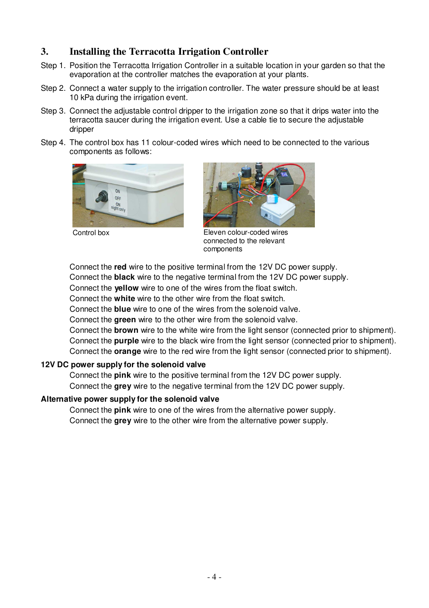### **3. Installing the Terracotta Irrigation Controller**

- Step 1. Position the Terracotta Irrigation Controller in a suitable location in your garden so that the evaporation at the controller matches the evaporation at your plants.
- Step 2. Connect a water supply to the irrigation controller. The water pressure should be at least 10 kPa during the irrigation event.
- Step 3. Connect the adjustable control dripper to the irrigation zone so that it drips water into the terracotta saucer during the irrigation event. Use a cable tie to secure the adjustable dripper
- Step 4. The control box has 11 colour-coded wires which need to be connected to the various components as follows:





Control box Eleven colour-coded wires connected to the relevant components

Connect the **red** wire to the positive terminal from the 12V DC power supply.

Connect the **black** wire to the negative terminal from the 12V DC power supply.

Connect the **yellow** wire to one of the wires from the float switch.

Connect the **white** wire to the other wire from the float switch.

Connect the **blue** wire to one of the wires from the solenoid valve.

Connect the **green** wire to the other wire from the solenoid valve.

Connect the **brown** wire to the white wire from the light sensor (connected prior to shipment). Connect the **purple** wire to the black wire from the light sensor (connected prior to shipment). Connect the **orange** wire to the red wire from the light sensor (connected prior to shipment).

#### **12V DC power supply for the solenoid valve**

Connect the **pink** wire to the positive terminal from the 12V DC power supply. Connect the **grey** wire to the negative terminal from the 12V DC power supply.

#### **Alternative power supply for the solenoid valve**

Connect the **pink** wire to one of the wires from the alternative power supply. Connect the **grey** wire to the other wire from the alternative power supply.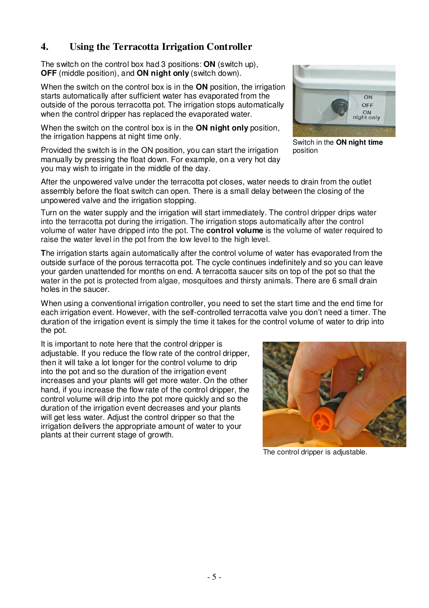## **4. Using the Terracotta Irrigation Controller**

The switch on the control box had 3 positions: **ON** (switch up), **OFF** (middle position), and **ON night only** (switch down).

When the switch on the control box is in the **ON** position, the irrigation starts automatically after sufficient water has evaporated from the outside of the porous terracotta pot. The irrigation stops automatically when the control dripper has replaced the evaporated water.

When the switch on the control box is in the **ON night only** position, the irrigation happens at night time only.

Provided the switch is in the ON position, you can start the irrigation manually by pressing the float down. For example, on a very hot day you may wish to irrigate in the middle of the day.

After the unpowered valve under the terracotta pot closes, water needs to drain from the outlet assembly before the float switch can open. There is a small delay between the closing of the unpowered valve and the irrigation stopping.

Turn on the water supply and the irrigation will start immediately. The control dripper drips water into the terracotta pot during the irrigation. The irrigation stops automatically after the control volume of water have dripped into the pot. The **control volume** is the volume of water required to raise the water level in the pot from the low level to the high level.

**T**he irrigation starts again automatically after the control volume of water has evaporated from the outside surface of the porous terracotta pot. The cycle continues indefinitely and so you can leave your garden unattended for months on end. A terracotta saucer sits on top of the pot so that the water in the pot is protected from algae, mosquitoes and thirsty animals. There are 6 small drain holes in the saucer.

When using a conventional irrigation controller, you need to set the start time and the end time for each irrigation event. However, with the self-controlled terracotta valve you don't need a timer. The duration of the irrigation event is simply the time it takes for the control volume of water to drip into the pot.

It is important to note here that the control dripper is adjustable. If you reduce the flow rate of the control dripper, then it will take a lot longer for the control volume to drip into the pot and so the duration of the irrigation event increases and your plants will get more water. On the other hand, if you increase the flow rate of the control dripper, the control volume will drip into the pot more quickly and so the duration of the irrigation event decreases and your plants will get less water. Adjust the control dripper so that the irrigation delivers the appropriate amount of water to your plants at their current stage of growth.

The control dripper is adjustable.





Switch in the **ON night time**  position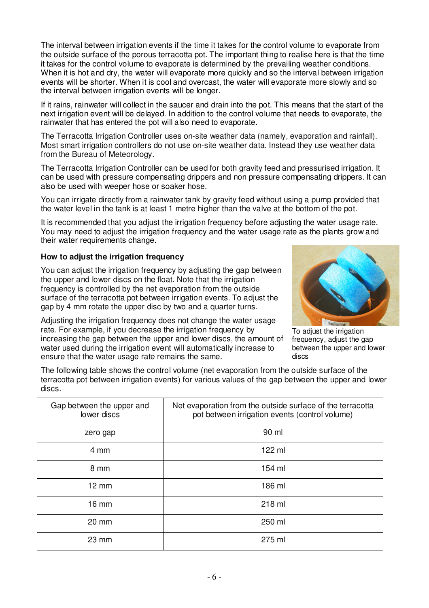The interval between irrigation events if the time it takes for the control volume to evaporate from the outside surface of the porous terracotta pot. The important thing to realise here is that the time it takes for the control volume to evaporate is determined by the prevailing weather conditions. When it is hot and dry, the water will evaporate more quickly and so the interval between irrigation events will be shorter. When it is cool and overcast, the water will evaporate more slowly and so the interval between irrigation events will be longer.

If it rains, rainwater will collect in the saucer and drain into the pot. This means that the start of the next irrigation event will be delayed. In addition to the control volume that needs to evaporate, the rainwater that has entered the pot will also need to evaporate.

The Terracotta Irrigation Controller uses on-site weather data (namely, evaporation and rainfall). Most smart irrigation controllers do not use on-site weather data. Instead they use weather data from the Bureau of Meteorology.

The Terracotta Irrigation Controller can be used for both gravity feed and pressurised irrigation. It can be used with pressure compensating drippers and non pressure compensating drippers. It can also be used with weeper hose or soaker hose.

You can irrigate directly from a rainwater tank by gravity feed without using a pump provided that the water level in the tank is at least 1 metre higher than the valve at the bottom of the pot.

It is recommended that you adjust the irrigation frequency before adjusting the water usage rate. You may need to adjust the irrigation frequency and the water usage rate as the plants grow and their water requirements change.

#### **How to adjust the irrigation frequency**

You can adjust the irrigation frequency by adjusting the gap between the upper and lower discs on the float. Note that the irrigation frequency is controlled by the net evaporation from the outside surface of the terracotta pot between irrigation events. To adjust the gap by 4 mm rotate the upper disc by two and a quarter turns.

Adjusting the irrigation frequency does not change the water usage rate. For example, if you decrease the irrigation frequency by increasing the gap between the upper and lower discs, the amount of water used during the irrigation event will automatically increase to ensure that the water usage rate remains the same.



To adjust the irrigation frequency, adjust the gap between the upper and lower discs

The following table shows the control volume (net evaporation from the outside surface of the terracotta pot between irrigation events) for various values of the gap between the upper and lower discs.

| Gap between the upper and<br>lower discs | Net evaporation from the outside surface of the terracotta<br>pot between irrigation events (control volume) |
|------------------------------------------|--------------------------------------------------------------------------------------------------------------|
| zero gap                                 | 90 ml                                                                                                        |
| 4 mm                                     | 122 ml                                                                                                       |
| 8 mm                                     | 154 ml                                                                                                       |
| $12 \text{ mm}$                          | 186 ml                                                                                                       |
| 16 mm                                    | 218 ml                                                                                                       |
| $20 \text{ mm}$                          | 250 ml                                                                                                       |
| $23 \, \text{mm}$                        | 275 ml                                                                                                       |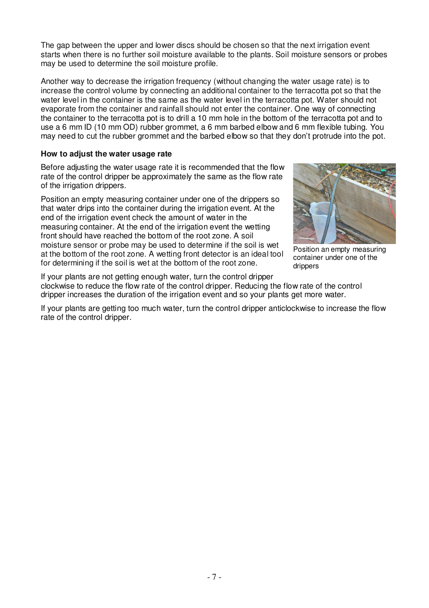The gap between the upper and lower discs should be chosen so that the next irrigation event starts when there is no further soil moisture available to the plants. Soil moisture sensors or probes may be used to determine the soil moisture profile.

Another way to decrease the irrigation frequency (without changing the water usage rate) is to increase the control volume by connecting an additional container to the terracotta pot so that the water level in the container is the same as the water level in the terracotta pot. Water should not evaporate from the container and rainfall should not enter the container. One way of connecting the container to the terracotta pot is to drill a 10 mm hole in the bottom of the terracotta pot and to use a 6 mm ID (10 mm OD) rubber grommet, a 6 mm barbed elbow and 6 mm flexible tubing. You may need to cut the rubber grommet and the barbed elbow so that they don't protrude into the pot.

#### **How to adjust the water usage rate**

Before adjusting the water usage rate it is recommended that the flow rate of the control dripper be approximately the same as the flow rate of the irrigation drippers.

Position an empty measuring container under one of the drippers so that water drips into the container during the irrigation event. At the end of the irrigation event check the amount of water in the measuring container. At the end of the irrigation event the wetting front should have reached the bottom of the root zone. A soil moisture sensor or probe may be used to determine if the soil is wet at the bottom of the root zone. A wetting front detector is an ideal tool for determining if the soil is wet at the bottom of the root zone.



Position an empty measuring container under one of the drippers

If your plants are not getting enough water, turn the control dripper clockwise to reduce the flow rate of the control dripper. Reducing the flow rate of the control dripper increases the duration of the irrigation event and so your plants get more water.

If your plants are getting too much water, turn the control dripper anticlockwise to increase the flow rate of the control dripper.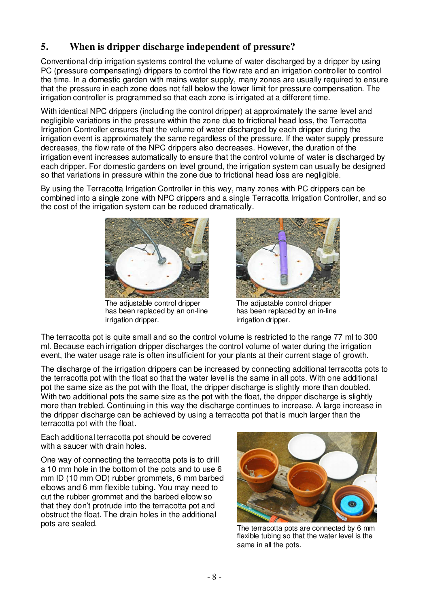### **5. When is dripper discharge independent of pressure?**

Conventional drip irrigation systems control the volume of water discharged by a dripper by using PC (pressure compensating) drippers to control the flow rate and an irrigation controller to control the time. In a domestic garden with mains water supply, many zones are usually required to ensure that the pressure in each zone does not fall below the lower limit for pressure compensation. The irrigation controller is programmed so that each zone is irrigated at a different time.

With identical NPC drippers (including the control dripper) at approximately the same level and negligible variations in the pressure within the zone due to frictional head loss, the Terracotta Irrigation Controller ensures that the volume of water discharged by each dripper during the irrigation event is approximately the same regardless of the pressure. If the water supply pressure decreases, the flow rate of the NPC drippers also decreases. However, the duration of the irrigation event increases automatically to ensure that the control volume of water is discharged by each dripper. For domestic gardens on level ground, the irrigation system can usually be designed so that variations in pressure within the zone due to frictional head loss are negligible.

By using the Terracotta Irrigation Controller in this way, many zones with PC drippers can be combined into a single zone with NPC drippers and a single Terracotta Irrigation Controller, and so the cost of the irrigation system can be reduced dramatically.



The adjustable control dripper has been replaced by an on-line irrigation dripper.



The adjustable control dripper has been replaced by an in-line irrigation dripper.

The terracotta pot is quite small and so the control volume is restricted to the range 77 ml to 300 ml. Because each irrigation dripper discharges the control volume of water during the irrigation event, the water usage rate is often insufficient for your plants at their current stage of growth.

The discharge of the irrigation drippers can be increased by connecting additional terracotta pots to the terracotta pot with the float so that the water level is the same in all pots. With one additional pot the same size as the pot with the float, the dripper discharge is slightly more than doubled. With two additional pots the same size as the pot with the float, the dripper discharge is slightly more than trebled. Continuing in this way the discharge continues to increase. A large increase in the dripper discharge can be achieved by using a terracotta pot that is much larger than the terracotta pot with the float.

Each additional terracotta pot should be covered with a saucer with drain holes.

One way of connecting the terracotta pots is to drill a 10 mm hole in the bottom of the pots and to use 6 mm ID (10 mm OD) rubber grommets, 6 mm barbed elbows and 6 mm flexible tubing. You may need to cut the rubber grommet and the barbed elbow so that they don't protrude into the terracotta pot and obstruct the float. The drain holes in the additional pots are sealed.



The terracotta pots are connected by 6 mm flexible tubing so that the water level is the same in all the pots.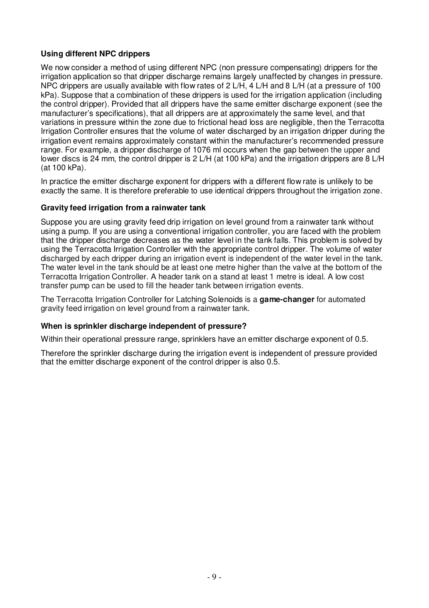#### **Using different NPC drippers**

We now consider a method of using different NPC (non pressure compensating) drippers for the irrigation application so that dripper discharge remains largely unaffected by changes in pressure. NPC drippers are usually available with flow rates of 2 L/H, 4 L/H and 8 L/H (at a pressure of 100 kPa). Suppose that a combination of these drippers is used for the irrigation application (including the control dripper). Provided that all drippers have the same emitter discharge exponent (see the manufacturer's specifications), that all drippers are at approximately the same level, and that variations in pressure within the zone due to frictional head loss are negligible, then the Terracotta Irrigation Controller ensures that the volume of water discharged by an irrigation dripper during the irrigation event remains approximately constant within the manufacturer's recommended pressure range. For example, a dripper discharge of 1076 ml occurs when the gap between the upper and lower discs is 24 mm, the control dripper is 2 L/H (at 100 kPa) and the irrigation drippers are 8 L/H (at 100 kPa).

In practice the emitter discharge exponent for drippers with a different flow rate is unlikely to be exactly the same. It is therefore preferable to use identical drippers throughout the irrigation zone.

#### **Gravity feed irrigation from a rainwater tank**

Suppose you are using gravity feed drip irrigation on level ground from a rainwater tank without using a pump. If you are using a conventional irrigation controller, you are faced with the problem that the dripper discharge decreases as the water level in the tank falls. This problem is solved by using the Terracotta Irrigation Controller with the appropriate control dripper. The volume of water discharged by each dripper during an irrigation event is independent of the water level in the tank. The water level in the tank should be at least one metre higher than the valve at the bottom of the Terracotta Irrigation Controller. A header tank on a stand at least 1 metre is ideal. A low cost transfer pump can be used to fill the header tank between irrigation events.

The Terracotta Irrigation Controller for Latching Solenoids is a **game-changer** for automated gravity feed irrigation on level ground from a rainwater tank.

#### **When is sprinkler discharge independent of pressure?**

Within their operational pressure range, sprinklers have an emitter discharge exponent of 0.5.

Therefore the sprinkler discharge during the irrigation event is independent of pressure provided that the emitter discharge exponent of the control dripper is also 0.5.